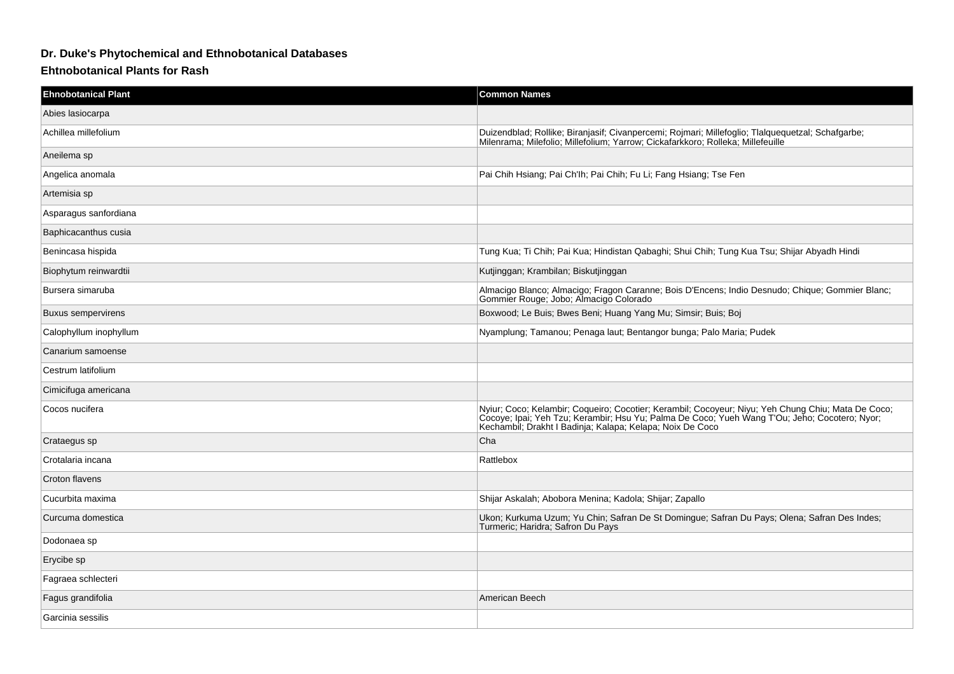## **Dr. Duke's Phytochemical and Ethnobotanical Databases**

## **Ehtnobotanical Plants for Rash**

| <b>Ehnobotanical Plant</b> | <b>Common Names</b>                                                                                                                                                                                                                                              |
|----------------------------|------------------------------------------------------------------------------------------------------------------------------------------------------------------------------------------------------------------------------------------------------------------|
| Abies lasiocarpa           |                                                                                                                                                                                                                                                                  |
| Achillea millefolium       | Duizendblad; Rollike; Biranjasif; Civanpercemi; Rojmari; Millefoglio; Tlalquequetzal; Schafgarbe;<br>Milenrama; Milefolio; Millefolium; Yarrow; Cickafarkkoro; Rolleka; Millefeuille                                                                             |
| Aneilema sp                |                                                                                                                                                                                                                                                                  |
| Angelica anomala           | Pai Chih Hsiang; Pai Ch'lh; Pai Chih; Fu Li; Fang Hsiang; Tse Fen                                                                                                                                                                                                |
| Artemisia sp               |                                                                                                                                                                                                                                                                  |
| Asparagus sanfordiana      |                                                                                                                                                                                                                                                                  |
| Baphicacanthus cusia       |                                                                                                                                                                                                                                                                  |
| Benincasa hispida          | Tung Kua; Ti Chih; Pai Kua; Hindistan Qabaghi; Shui Chih; Tung Kua Tsu; Shijar Abyadh Hindi                                                                                                                                                                      |
| Biophytum reinwardtii      | Kutjinggan; Krambilan; Biskutjinggan                                                                                                                                                                                                                             |
| Bursera simaruba           | Almacigo Blanco; Almacigo; Fragon Caranne; Bois D'Encens; Indio Desnudo; Chique; Gommier Blanc;<br>Gommier Rouge; Jobo; Almacigo Colorado                                                                                                                        |
| Buxus sempervirens         | Boxwood; Le Buis; Bwes Beni; Huang Yang Mu; Simsir; Buis; Boj                                                                                                                                                                                                    |
| Calophyllum inophyllum     | Nyamplung; Tamanou; Penaga laut; Bentangor bunga; Palo Maria; Pudek                                                                                                                                                                                              |
| Canarium samoense          |                                                                                                                                                                                                                                                                  |
| Cestrum latifolium         |                                                                                                                                                                                                                                                                  |
| Cimicifuga americana       |                                                                                                                                                                                                                                                                  |
| Cocos nucifera             | Nyiur; Coco; Kelambir; Coqueiro; Cocotier; Kerambil; Cocoyeur; Niyu; Yeh Chung Chiu; Mata De Coco;<br>Cocoye; Ipai; Yeh Tzu; Kerambir; Hsu Yu; Palma De Coco; Yueh Wang T'Ou; Jeho; Cocotero; Nyor;<br>Kechambil, Drakht I Badinja, Kalapa, Kelapa, Noix De Coco |
| Crataegus sp               | Cha                                                                                                                                                                                                                                                              |
| Crotalaria incana          | Rattlebox                                                                                                                                                                                                                                                        |
| Croton flavens             |                                                                                                                                                                                                                                                                  |
| Cucurbita maxima           | Shijar Askalah; Abobora Menina; Kadola; Shijar; Zapallo                                                                                                                                                                                                          |
| Curcuma domestica          | Ukon; Kurkuma Uzum; Yu Chin; Safran De St Domingue; Safran Du Pays; Olena; Safran Des Indes;<br>Turmeric; Haridra; Safron Du Pays                                                                                                                                |
| Dodonaea sp                |                                                                                                                                                                                                                                                                  |
| Erycibe sp                 |                                                                                                                                                                                                                                                                  |
| Fagraea schlecteri         |                                                                                                                                                                                                                                                                  |
| Fagus grandifolia          | American Beech                                                                                                                                                                                                                                                   |
| Garcinia sessilis          |                                                                                                                                                                                                                                                                  |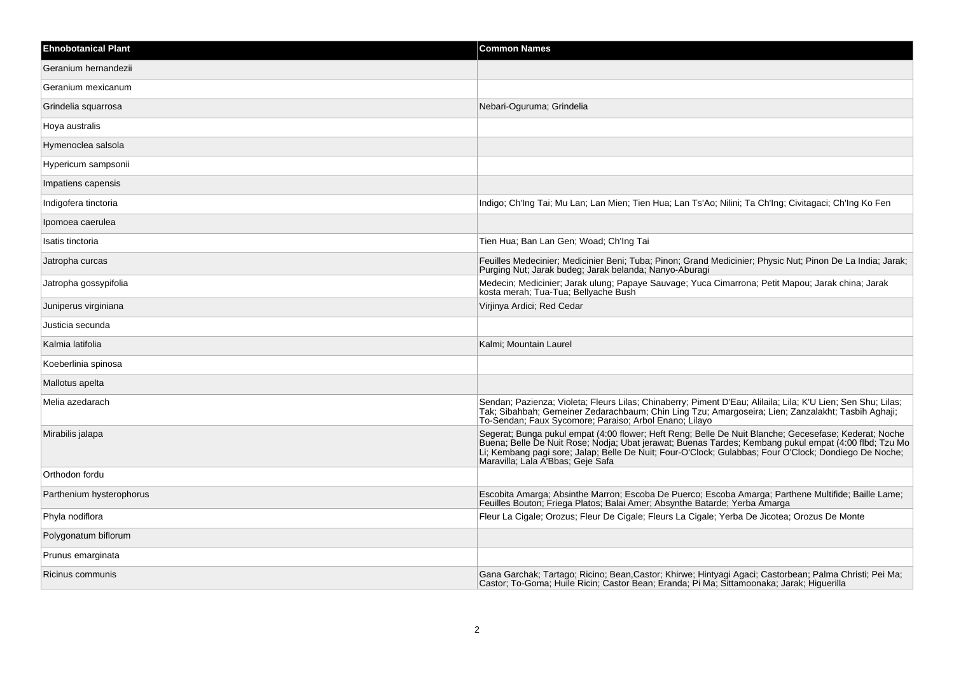| <b>Ehnobotanical Plant</b> | <b>Common Names</b>                                                                                                                                                                                                                                                                                                                                       |
|----------------------------|-----------------------------------------------------------------------------------------------------------------------------------------------------------------------------------------------------------------------------------------------------------------------------------------------------------------------------------------------------------|
| Geranium hernandezii       |                                                                                                                                                                                                                                                                                                                                                           |
| Geranium mexicanum         |                                                                                                                                                                                                                                                                                                                                                           |
| Grindelia squarrosa        | Nebari-Oguruma; Grindelia                                                                                                                                                                                                                                                                                                                                 |
| Hoya australis             |                                                                                                                                                                                                                                                                                                                                                           |
| Hymenoclea salsola         |                                                                                                                                                                                                                                                                                                                                                           |
| Hypericum sampsonii        |                                                                                                                                                                                                                                                                                                                                                           |
| Impatiens capensis         |                                                                                                                                                                                                                                                                                                                                                           |
| Indigofera tinctoria       | Indigo; Ch'Ing Tai; Mu Lan; Lan Mien; Tien Hua; Lan Ts'Ao; Nilini; Ta Ch'Ing; Civitagaci; Ch'Ing Ko Fen                                                                                                                                                                                                                                                   |
| Ipomoea caerulea           |                                                                                                                                                                                                                                                                                                                                                           |
| Isatis tinctoria           | Tien Hua; Ban Lan Gen; Woad; Ch'Ing Tai                                                                                                                                                                                                                                                                                                                   |
| Jatropha curcas            | Feuilles Medecinier; Medicinier Beni; Tuba; Pinon; Grand Medicinier; Physic Nut; Pinon De La India; Jarak;<br>Purging Nut; Jarak budeg; Jarak belanda; Nanyo-Aburagi                                                                                                                                                                                      |
| Jatropha gossypifolia      | Medecin; Medicinier; Jarak ulung; Papaye Sauvage; Yuca Cimarrona; Petit Mapou; Jarak china; Jarak<br>kosta merah; Tua-Tua; Bellyache Bush                                                                                                                                                                                                                 |
| Juniperus virginiana       | Virjinya Ardici; Red Cedar                                                                                                                                                                                                                                                                                                                                |
| Justicia secunda           |                                                                                                                                                                                                                                                                                                                                                           |
| Kalmia latifolia           | Kalmi; Mountain Laurel                                                                                                                                                                                                                                                                                                                                    |
| Koeberlinia spinosa        |                                                                                                                                                                                                                                                                                                                                                           |
| Mallotus apelta            |                                                                                                                                                                                                                                                                                                                                                           |
| Melia azedarach            | Sendan; Pazienza; Violeta; Fleurs Lilas; Chinaberry; Piment D'Eau; Alilaila; Lila; K'U Lien; Sen Shu; Lilas;<br>Tak; Sibahbah; Gemeiner Zedarachbaum; Chin Ling Tzu; Amargoseira; Lien; Zanzalakht; Tasbih Aghaji;<br>To-Sendan; Faux Sycomore; Paraiso; Arbol Enano; Lilayo                                                                              |
| Mirabilis jalapa           | Segerat; Bunga pukul empat (4:00 flower; Heft Reng; Belle De Nuit Blanche; Gecesefase; Kederat; Noche Buena; Belle De Nuit Rose; Nodja; Ubat jerawat; Buenas Tardes; Kembang pukul empat (4:00 flbd; Tzu Mo<br>Li; Kembang pagi sore; Jalap; Belle De Nuit; Four-O'Clock; Gulabbas; Four O'Clock; Dondiego De Noche;<br>Maravilla, Lala A'Bbas, Geje Safa |
| Orthodon fordu             |                                                                                                                                                                                                                                                                                                                                                           |
| Parthenium hysterophorus   | Escobita Amarga; Absinthe Marron; Escoba De Puerco; Escoba Amarga; Parthene Multifide; Baille Lame;<br>Feuilles Bouton; Friega Platos; Balai Amer; Absynthe Batarde; Yerba Amarga                                                                                                                                                                         |
| Phyla nodiflora            | Fleur La Cigale; Orozus; Fleur De Cigale; Fleurs La Cigale; Yerba De Jicotea; Orozus De Monte                                                                                                                                                                                                                                                             |
| Polygonatum biflorum       |                                                                                                                                                                                                                                                                                                                                                           |
| Prunus emarginata          |                                                                                                                                                                                                                                                                                                                                                           |
| Ricinus communis           | Gana Garchak; Tartago; Ricino; Bean, Castor; Khirwe; Hintyagi Agaci; Castorbean; Palma Christi; Pei Ma;<br>Castor; To-Goma; Huile Ricin; Castor Bean; Eranda; Pi Ma; Sittamoonaka; Jarak; Higuerilla                                                                                                                                                      |